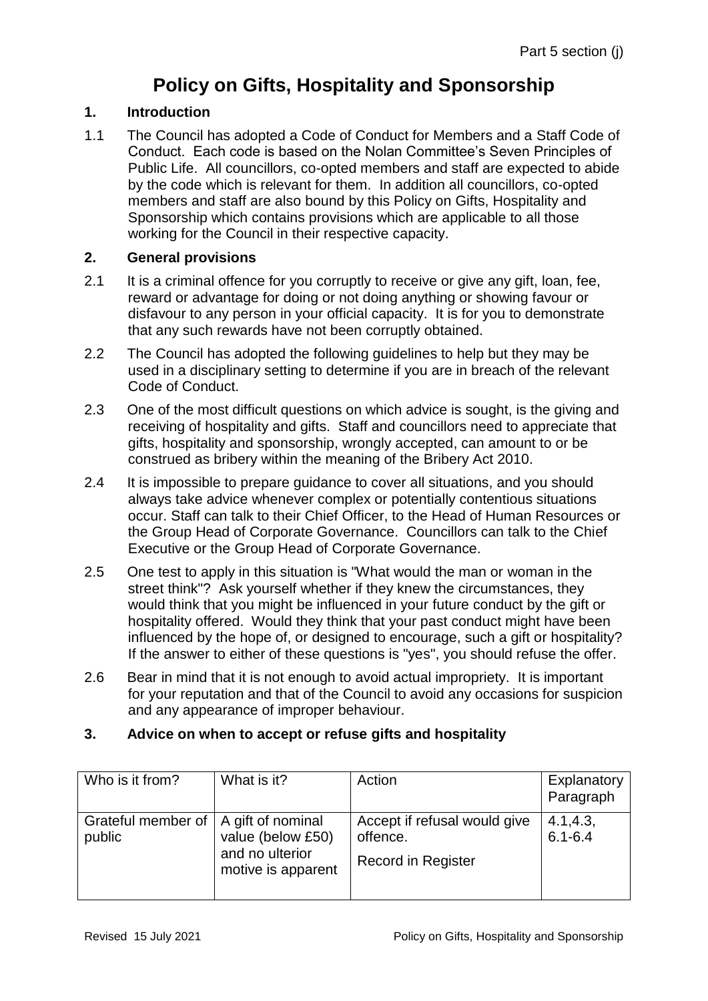# **Policy on Gifts, Hospitality and Sponsorship**

### **1. Introduction**

1.1 The Council has adopted a Code of Conduct for Members and a Staff Code of Conduct. Each code is based on the Nolan Committee's Seven Principles of Public Life. All councillors, co-opted members and staff are expected to abide by the code which is relevant for them. In addition all councillors, co-opted members and staff are also bound by this Policy on Gifts, Hospitality and Sponsorship which contains provisions which are applicable to all those working for the Council in their respective capacity.

### **2. General provisions**

- 2.1 It is a criminal offence for you corruptly to receive or give any gift, loan, fee, reward or advantage for doing or not doing anything or showing favour or disfavour to any person in your official capacity. It is for you to demonstrate that any such rewards have not been corruptly obtained.
- 2.2 The Council has adopted the following guidelines to help but they may be used in a disciplinary setting to determine if you are in breach of the relevant Code of Conduct.
- 2.3 One of the most difficult questions on which advice is sought, is the giving and receiving of hospitality and gifts. Staff and councillors need to appreciate that gifts, hospitality and sponsorship, wrongly accepted, can amount to or be construed as bribery within the meaning of the Bribery Act 2010.
- 2.4 It is impossible to prepare guidance to cover all situations, and you should always take advice whenever complex or potentially contentious situations occur. Staff can talk to their Chief Officer, to the Head of Human Resources or the Group Head of Corporate Governance. Councillors can talk to the Chief Executive or the Group Head of Corporate Governance.
- 2.5 One test to apply in this situation is "What would the man or woman in the street think"? Ask yourself whether if they knew the circumstances, they would think that you might be influenced in your future conduct by the gift or hospitality offered. Would they think that your past conduct might have been influenced by the hope of, or designed to encourage, such a gift or hospitality? If the answer to either of these questions is "yes", you should refuse the offer.
- 2.6 Bear in mind that it is not enough to avoid actual impropriety. It is important for your reputation and that of the Council to avoid any occasions for suspicion and any appearance of improper behaviour.

#### **3. Advice on when to accept or refuse gifts and hospitality**

| Who is it from?                                  | What is it?                                                | Action                                                                | Explanatory<br>Paragraph |
|--------------------------------------------------|------------------------------------------------------------|-----------------------------------------------------------------------|--------------------------|
| Grateful member of   A gift of nominal<br>public | value (below £50)<br>and no ulterior<br>motive is apparent | Accept if refusal would give<br>offence.<br><b>Record in Register</b> | 4.1, 4.3,<br>$6.1 - 6.4$ |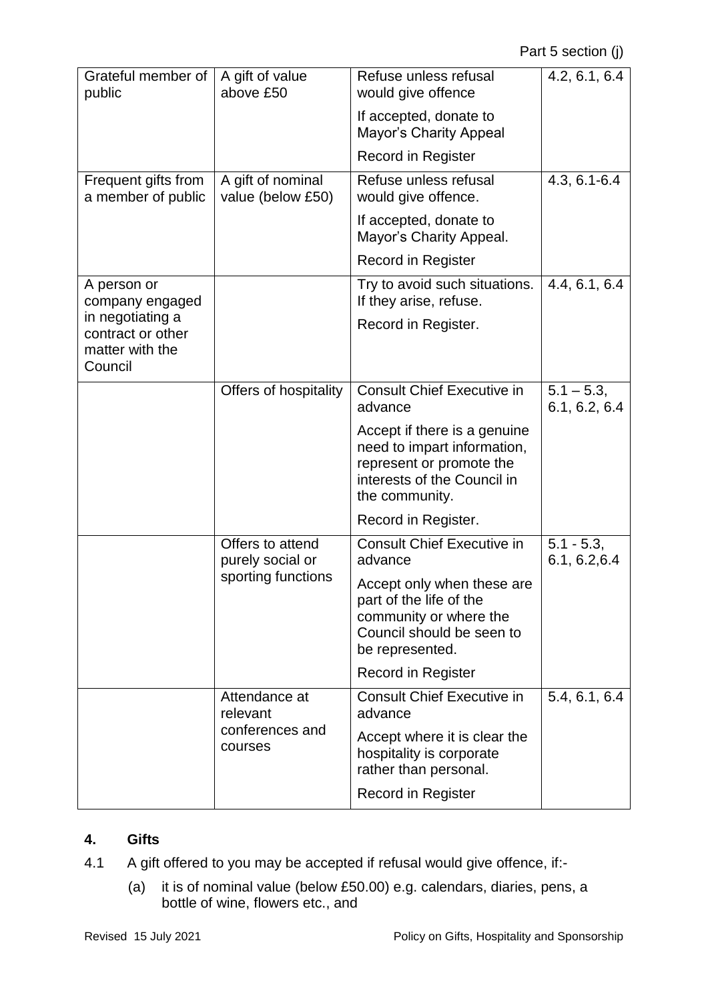| Grateful member of                                                  | A gift of value                                            | Refuse unless refusal                                                                                                                    | 4.2, 6.1, 6.4                  |
|---------------------------------------------------------------------|------------------------------------------------------------|------------------------------------------------------------------------------------------------------------------------------------------|--------------------------------|
| public                                                              | above £50                                                  | would give offence                                                                                                                       |                                |
|                                                                     |                                                            | If accepted, donate to<br><b>Mayor's Charity Appeal</b>                                                                                  |                                |
|                                                                     |                                                            | <b>Record in Register</b>                                                                                                                |                                |
| Frequent gifts from<br>a member of public                           | A gift of nominal<br>value (below £50)                     | Refuse unless refusal<br>would give offence.                                                                                             | 4.3, 6.1-6.4                   |
|                                                                     |                                                            | If accepted, donate to<br>Mayor's Charity Appeal.                                                                                        |                                |
|                                                                     |                                                            | <b>Record in Register</b>                                                                                                                |                                |
| A person or<br>company engaged                                      |                                                            | Try to avoid such situations.<br>If they arise, refuse.                                                                                  | 4.4, 6.1, 6.4                  |
| in negotiating a<br>contract or other<br>matter with the<br>Council |                                                            | Record in Register.                                                                                                                      |                                |
|                                                                     | Offers of hospitality                                      | <b>Consult Chief Executive in</b><br>advance                                                                                             | $5.1 - 5.3$ ,<br>6.1, 6.2, 6.4 |
|                                                                     |                                                            | Accept if there is a genuine<br>need to impart information,<br>represent or promote the<br>interests of the Council in<br>the community. |                                |
|                                                                     |                                                            | Record in Register.                                                                                                                      |                                |
|                                                                     | Offers to attend<br>purely social or<br>sporting functions | <b>Consult Chief Executive in</b><br>advance                                                                                             | $5.1 - 5.3$ ,<br>6.1, 6.2, 6.4 |
|                                                                     |                                                            | Accept only when these are<br>part of the life of the<br>community or where the<br>Council should be seen to<br>be represented.          |                                |
|                                                                     |                                                            | Record in Register                                                                                                                       |                                |
|                                                                     | Attendance at<br>relevant<br>conferences and<br>courses    | <b>Consult Chief Executive in</b><br>advance                                                                                             | 5.4, 6.1, 6.4                  |
|                                                                     |                                                            | Accept where it is clear the<br>hospitality is corporate<br>rather than personal.                                                        |                                |
|                                                                     |                                                            | <b>Record in Register</b>                                                                                                                |                                |

# **4. Gifts**

- 4.1 A gift offered to you may be accepted if refusal would give offence, if:-
	- (a) it is of nominal value (below £50.00) e.g. calendars, diaries, pens, a bottle of wine, flowers etc., and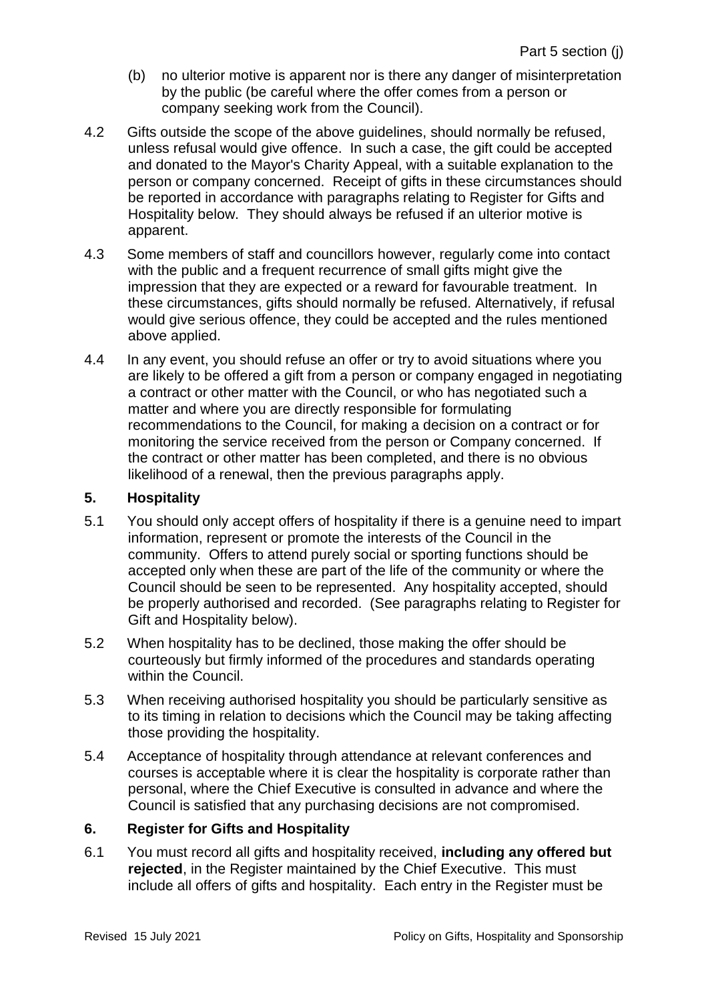- (b) no ulterior motive is apparent nor is there any danger of misinterpretation by the public (be careful where the offer comes from a person or company seeking work from the Council).
- 4.2 Gifts outside the scope of the above guidelines, should normally be refused, unless refusal would give offence. In such a case, the gift could be accepted and donated to the Mayor's Charity Appeal, with a suitable explanation to the person or company concerned. Receipt of gifts in these circumstances should be reported in accordance with paragraphs relating to Register for Gifts and Hospitality below. They should always be refused if an ulterior motive is apparent.
- 4.3 Some members of staff and councillors however, regularly come into contact with the public and a frequent recurrence of small gifts might give the impression that they are expected or a reward for favourable treatment. In these circumstances, gifts should normally be refused. Alternatively, if refusal would give serious offence, they could be accepted and the rules mentioned above applied.
- 4.4 In any event, you should refuse an offer or try to avoid situations where you are likely to be offered a gift from a person or company engaged in negotiating a contract or other matter with the Council, or who has negotiated such a matter and where you are directly responsible for formulating recommendations to the Council, for making a decision on a contract or for monitoring the service received from the person or Company concerned. If the contract or other matter has been completed, and there is no obvious likelihood of a renewal, then the previous paragraphs apply.

### **5. Hospitality**

- 5.1 You should only accept offers of hospitality if there is a genuine need to impart information, represent or promote the interests of the Council in the community. Offers to attend purely social or sporting functions should be accepted only when these are part of the life of the community or where the Council should be seen to be represented. Any hospitality accepted, should be properly authorised and recorded. (See paragraphs relating to Register for Gift and Hospitality below).
- 5.2 When hospitality has to be declined, those making the offer should be courteously but firmly informed of the procedures and standards operating within the Council.
- 5.3 When receiving authorised hospitality you should be particularly sensitive as to its timing in relation to decisions which the Council may be taking affecting those providing the hospitality.
- 5.4 Acceptance of hospitality through attendance at relevant conferences and courses is acceptable where it is clear the hospitality is corporate rather than personal, where the Chief Executive is consulted in advance and where the Council is satisfied that any purchasing decisions are not compromised.

## **6. Register for Gifts and Hospitality**

6.1 You must record all gifts and hospitality received, **including any offered but rejected**, in the Register maintained by the Chief Executive. This must include all offers of gifts and hospitality. Each entry in the Register must be